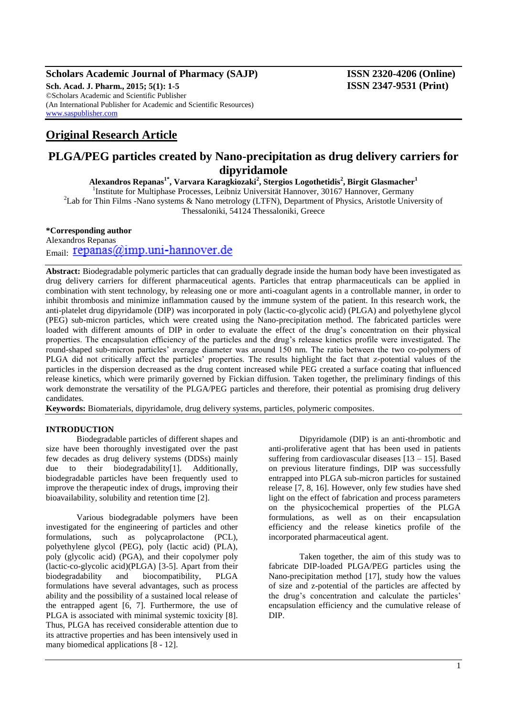### **Scholars Academic Journal of Pharmacy (SAJP) ISSN 2320-4206 (Online) Sch. Acad. J. Pharm., 2015; 5(1): 1-5 ISSN 2347-9531 (Print)** ©Scholars Academic and Scientific Publisher (An International Publisher for Academic and Scientific Resources) [www.saspublisher.com](http://www.saspublisher.com/)

# **Original Research Article**

## **PLGA/PEG particles created by Nano-precipitation as drug delivery carriers for dipyridamole**

**Alexandros Repanas1\*, Varvara Karagkiozaki<sup>2</sup> , Stergios Logothetidis<sup>2</sup> , Birgit Glasmacher<sup>1</sup>**

<sup>1</sup>Institute for Multiphase Processes, Leibniz Universität Hannover, 30167 Hannover, Germany <sup>2</sup>Lab for Thin Films -Nano systems & Nano metrology (LTFN), Department of Physics, Aristotle University of

Thessaloniki, 54124 Thessaloniki, Greece

**\*Corresponding author**

Alexandros Repanas  $E_{\text{mail}}$ : repanas( $a$ )imp.uni-hannover.de

**Abstract:** Biodegradable polymeric particles that can gradually degrade inside the human body have been investigated as drug delivery carriers for different pharmaceutical agents. Particles that entrap pharmaceuticals can be applied in combination with stent technology, by releasing one or more anti-coagulant agents in a controllable manner, in order to inhibit thrombosis and minimize inflammation caused by the immune system of the patient. In this research work, the anti-platelet drug dipyridamole (DIP) was incorporated in poly (lactic-co-glycolic acid) (PLGA) and polyethylene glycol (PEG) sub-micron particles, which were created using the Nano-precipitation method. The fabricated particles were loaded with different amounts of DIP in order to evaluate the effect of the drug's concentration on their physical properties. The encapsulation efficiency of the particles and the drug's release kinetics profile were investigated. The round-shaped sub-micron particles' average diameter was around 150 nm. The ratio between the two co-polymers of PLGA did not critically affect the particles' properties. The results highlight the fact that z-potential values of the particles in the dispersion decreased as the drug content increased while PEG created a surface coating that influenced release kinetics, which were primarily governed by Fickian diffusion. Taken together, the preliminary findings of this work demonstrate the versatility of the PLGA/PEG particles and therefore, their potential as promising drug delivery candidates*.*

**Keywords:** Biomaterials, dipyridamole, drug delivery systems, particles, polymeric composites.

### **INTRODUCTION**

Biodegradable particles of different shapes and size have been thoroughly investigated over the past few decades as drug delivery systems (DDSs) mainly due to their biodegradability[1]. Additionally, biodegradable particles have been frequently used to improve the therapeutic index of drugs, improving their bioavailability, solubility and retention time [2].

Various biodegradable polymers have been investigated for the engineering of particles and other formulations, such as polycaprolactone (PCL), polyethylene glycol (PEG), poly (lactic acid) (PLA), poly (glycolic acid) (PGA), and their copolymer poly (lactic-co-glycolic acid)(PLGA) [3-5]. Apart from their biodegradability and biocompatibility, PLGA formulations have several advantages, such as process ability and the possibility of a sustained local release of the entrapped agent [6, 7]. Furthermore, the use of PLGA is associated with minimal systemic toxicity [8]. Thus, PLGA has received considerable attention due to its attractive properties and has been intensively used in many biomedical applications [8 - 12].

Dipyridamole (DIP) is an anti-thrombotic and anti-proliferative agent that has been used in patients suffering from cardiovascular diseases [13 – 15]. Based on previous literature findings, DIP was successfully entrapped into PLGA sub-micron particles for sustained release [7, 8, 16]. However, only few studies have shed light on the effect of fabrication and process parameters on the physicochemical properties of the PLGA formulations, as well as on their encapsulation efficiency and the release kinetics profile of the incorporated pharmaceutical agent.

Taken together, the aim of this study was to fabricate DIP-loaded PLGA/PEG particles using the Nano-precipitation method [17], study how the values of size and z-potential of the particles are affected by the drug's concentration and calculate the particles' encapsulation efficiency and the cumulative release of DIP.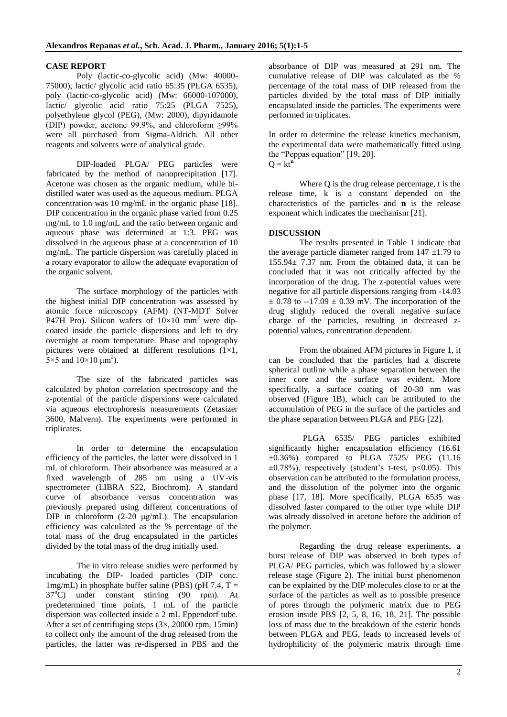## **CASE REPORT**

Poly (lactic-co-glycolic acid) (Mw: 40000- 75000), lactic/ glycolic acid ratio 65:35 (PLGA 6535), poly (lactic-co-glycolic acid) (Mw: 66000-107000), lactic/ glycolic acid ratio 75:25 (PLGA 7525), polyethylene glycol (PEG), (Mw: 2000), dipyridamole (DIP) powder, acetone 99.9%, and chloroform ≥99% were all purchased from Sigma-Aldrich. All other reagents and solvents were of analytical grade.

DIP-loaded PLGA/ PEG particles were fabricated by the method of nanoprecipitation [17]. Acetone was chosen as the organic medium, while bidistilled water was used as the aqueous medium. PLGA concentration was 10 mg/mL in the organic phase [18]. DIP concentration in the organic phase varied from 0.25 mg/mL to 1.0 mg/mL and the ratio between organic and aqueous phase was determined at 1:3. PEG was dissolved in the aqueous phase at a concentration of 10 mg/mL. The particle dispersion was carefully placed in a rotary evaporator to allow the adequate evaporation of the organic solvent.

The surface morphology of the particles with the highest initial DIP concentration was assessed by atomic force microscopy (AFM) (NT-MDT Solver P47H Pro). Silicon wafers of  $10\times10$  mm<sup>2</sup> were dipcoated inside the particle dispersions and left to dry overnight at room temperature. Phase and topography pictures were obtained at different resolutions  $(1\times1, 1)$  $5 \times 5$  and  $10 \times 10 \mu m^2$ ).

The size of the fabricated particles was calculated by photon correlation spectroscopy and the z-potential of the particle dispersions were calculated via aqueous electrophoresis measurements (Zetasizer 3600, Malvern). The experiments were performed in triplicates.

In order to determine the encapsulation efficiency of the particles, the latter were dissolved in 1 mL of chloroform. Their absorbance was measured at a fixed wavelength of 285 nm using a UV-vis spectrometer (LIBRA S22, Biochrom). A standard curve of absorbance versus concentration was previously prepared using different concentrations of DIP in chloroform (2-20 μg/mL). The encapsulation efficiency was calculated as the % percentage of the total mass of the drug encapsulated in the particles divided by the total mass of the drug initially used.

The in vitro release studies were performed by incubating the DIP- loaded particles (DIP conc.  $1mg/mL$ ) in phosphate buffer saline (PBS) (pH 7.4, T =  $37^{\circ}$ C) under constant stirring (90 rpm). At predetermined time points, 1 mL of the particle dispersion was collected inside a 2 mL Eppendorf tube. After a set of centrifuging steps  $(3 \times, 20000$  rpm, 15min) to collect only the amount of the drug released from the particles, the latter was re-dispersed in PBS and the

absorbance of DIP was measured at 291 nm. The cumulative release of DIP was calculated as the % percentage of the total mass of DIP released from the particles divided by the total mass of DIP initially encapsulated inside the particles. The experiments were performed in triplicates.

In order to determine the release kinetics mechanism, the experimental data were mathematically fitted using the "Peppas equation" [19, 20].  $Q = kt^n$ 

Where Q is the drug release percentage, t is the release time, k is a constant depended on the characteristics of the particles and **n** is the release exponent which indicates the mechanism [21].

## **DISCUSSION**

The results presented in Table 1 indicate that the average particle diameter ranged from  $147 \pm 1.79$  to  $155.94 \pm 7.37$  nm. From the obtained data, it can be concluded that it was not critically affected by the incorporation of the drug. The z-potential values were negative for all particle dispersions ranging from -14.03  $\pm$  0.78 to --17.09  $\pm$  0.39 mV. The incorporation of the drug slightly reduced the overall negative surface charge of the particles, resulting in decreased zpotential values, concentration dependent.

From the obtained AFM pictures in Figure 1, it can be concluded that the particles had a discrete spherical outline while a phase separation between the inner core and the surface was evident. More specifically, a surface coating of 20-30 nm was observed (Figure 1B), which can be attributed to the accumulation of PEG in the surface of the particles and the phase separation between PLGA and PEG [22].

 PLGA 6535/ PEG particles exhibited significantly higher encapsulation efficiency (16.61) ±0.36%) compared to PLGA 7525/ PEG (11.16  $\pm 0.78\%$ ), respectively (student's t-test, p<0.05). This observation can be attributed to the formulation process, and the dissolution of the polymer into the organic phase [17, 18]. More specifically, PLGA 6535 was dissolved faster compared to the other type while DIP was already dissolved in acetone before the addition of the polymer.

Regarding the drug release experiments, a burst release of DIP was observed in both types of PLGA/ PEG particles, which was followed by a slower release stage (Figure 2). The initial burst phenomenon can be explained by the DIP molecules close to or at the surface of the particles as well as to possible presence of pores through the polymeric matrix due to PEG erosion inside PBS [2, 5, 8, 16, 18, 21]. The possible loss of mass due to the breakdown of the esteric bonds between PLGA and PEG, leads to increased levels of hydrophilicity of the polymeric matrix through time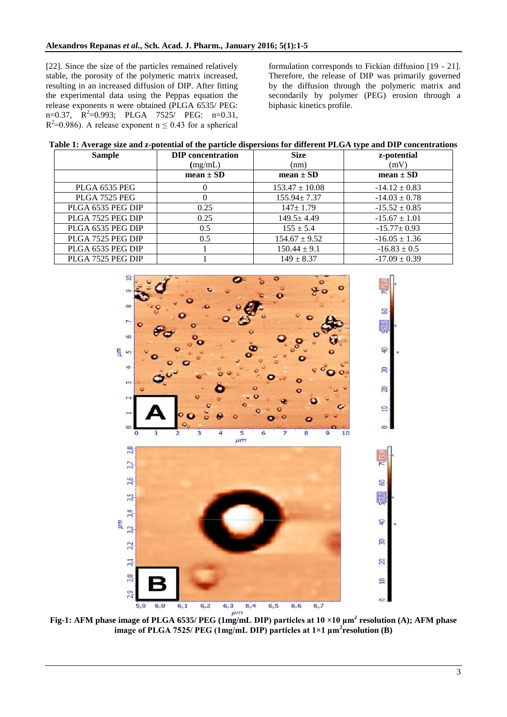[22]. Since the size of the particles remained relatively stable, the porosity of the polymeric matrix increased, resulting in an increased diffusion of DIP. After fitting the experimental data using the Peppas equation the release exponents n were obtained (PLGA 6535/ PEG:  $n=0.37$ ,  $R^2=0.993$ ; PLGA 7525/ PEG:  $n=0.31$ ,  $R^2$ =0.986). A release exponent n  $\leq$  0.43 for a spherical

formulation corresponds to Fickian diffusion [19 - 21]. Therefore, the release of DIP was primarily governed by the diffusion through the polymeric matrix and secondarily by polymer (PEG) erosion through a biphasic kinetics profile.

| <b>Sample</b>     | <b>DIP</b> concentration | <b>Size</b>        | z-potential       |
|-------------------|--------------------------|--------------------|-------------------|
|                   | (mg/mL)                  | (nm)               | (mV)              |
|                   | mean $\pm$ SD            | $mean \pm SD$      | $mean \pm SD$     |
| PLGA 6535 PEG     | O                        | $153.47 \pm 10.08$ | $-14.12 \pm 0.83$ |
| PLGA 7525 PEG     |                          | $155.94 \pm 7.37$  | $-14.03 \pm 0.78$ |
| PLGA 6535 PEG DIP | 0.25                     | $147 + 1.79$       | $-15.52 \pm 0.85$ |
| PLGA 7525 PEG DIP | 0.25                     | $149.5 \pm 4.49$   | $-15.67 \pm 1.01$ |
| PLGA 6535 PEG DIP | 0.5                      | $155 \pm 5.4$      | $-15.77 \pm 0.93$ |
| PLGA 7525 PEG DIP | 0.5                      | $154.67 \pm 9.52$  | $-16.05 \pm 1.36$ |
| PLGA 6535 PEG DIP |                          | $150.44 \pm 9.1$   | $-16.83 \pm 0.5$  |
| PLGA 7525 PEG DIP |                          | $149 \pm 8.37$     | $-17.09 \pm 0.39$ |



**Fig-1: AFM phase image of PLGA 6535/ PEG (1mg/mL DIP) particles at 10 ×10 μm<sup>2</sup> resolution (A); AFM phase image of PLGA 7525/ PEG (1mg/mL DIP) particles at 1×1 μm<sup>2</sup> resolution (B)**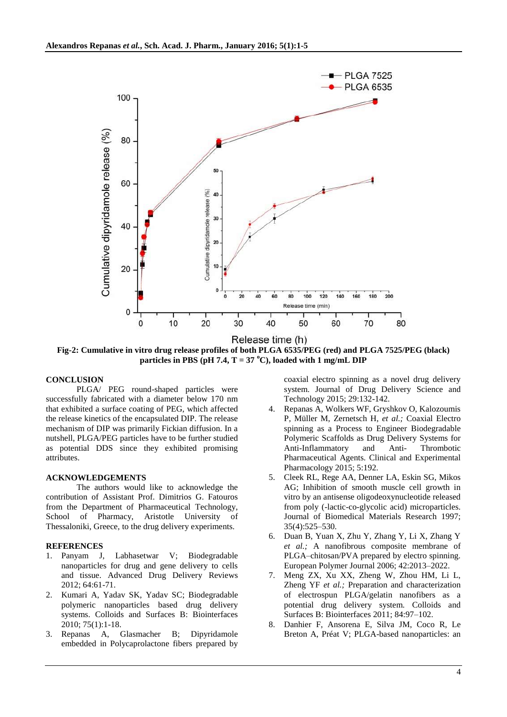

**Fig-2: Cumulative in vitro drug release profiles of both PLGA 6535/PEG (red) and PLGA 7525/PEG (black) particles in PBS (pH 7.4, T = 37**  $^{\circ}$ **C), loaded with 1 mg/mL DIP** 

#### **CONCLUSION**

PLGA/ PEG round-shaped particles were successfully fabricated with a diameter below 170 nm that exhibited a surface coating of PEG, which affected the release kinetics of the encapsulated DIP. The release mechanism of DIP was primarily Fickian diffusion. In a nutshell, PLGA/PEG particles have to be further studied as potential DDS since they exhibited promising attributes.

#### **ACKNOWLEDGEMENTS**

The authors would like to acknowledge the contribution of Assistant Prof. Dimitrios G. Fatouros from the Department of Pharmaceutical Technology, School of Pharmacy, Aristotle University of Thessaloniki, Greece, to the drug delivery experiments.

#### **REFERENCES**

- 1. Panyam J, Labhasetwar V; Biodegradable nanoparticles for drug and gene delivery to cells and tissue. Advanced Drug Delivery Reviews 2012; 64:61-71.
- 2. Kumari A, Yadav SK, Yadav SC; Biodegradable polymeric nanoparticles based drug delivery systems. Colloids and Surfaces B: Biointerfaces 2010; 75(1):1-18.
- 3. Repanas A, Glasmacher B; Dipyridamole embedded in Polycaprolactone fibers prepared by

coaxial electro spinning as a novel drug delivery system. Journal of Drug Delivery Science and Technology 2015; 29:132-142.

- 4. Repanas A, Wolkers WF, Gryshkov O, Kalozoumis P, Müller M, Zernetsch H, *et al.;* Coaxial Electro spinning as a Process to Engineer Biodegradable Polymeric Scaffolds as Drug Delivery Systems for Anti-Inflammatory and Anti- Thrombotic Pharmaceutical Agents. Clinical and Experimental Pharmacology 2015; 5:192.
- 5. Cleek RL, Rege AA, Denner LA, Eskin SG, Mikos AG; Inhibition of smooth muscle cell growth in vitro by an antisense oligodeoxynucleotide released from poly (-lactic-co-glycolic acid) microparticles. Journal of Biomedical Materials Research 1997; 35(4):525–530.
- 6. Duan B, Yuan X, Zhu Y, Zhang Y, Li X, Zhang Y *et al.;* A nanofibrous composite membrane of PLGA–chitosan/PVA prepared by electro spinning. European Polymer Journal 2006; 42:2013–2022.
- 7. Meng ZX, Xu XX, Zheng W, Zhou HM, Li L, Zheng YF *et al.;* Preparation and characterization of electrospun PLGA/gelatin nanofibers as a potential drug delivery system. Colloids and Surfaces B: Biointerfaces 2011; 84:97–102.
- 8. Danhier F, Ansorena E, Silva JM, Coco R, Le Breton A, Préat V; PLGA-based nanoparticles: an